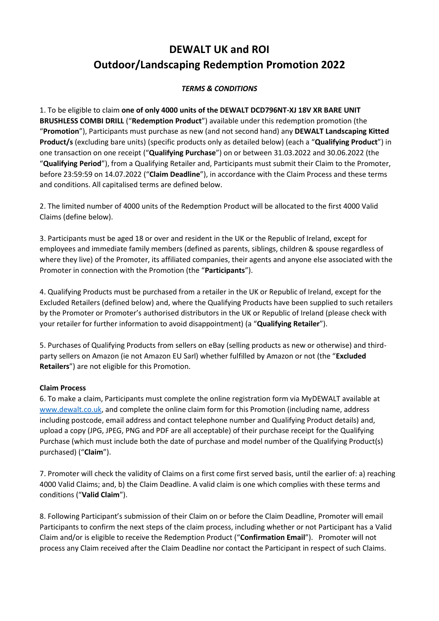## **DEWALT UK and ROI Outdoor/Landscaping Redemption Promotion 2022**

## *TERMS & CONDITIONS*

1. To be eligible to claim **one of only 4000 units of the DEWALT DCD796NT-XJ 18V XR BARE UNIT BRUSHLESS COMBI DRILL** ("**Redemption Product**") available under this redemption promotion (the "**Promotion**"), Participants must purchase as new (and not second hand) any **DEWALT Landscaping Kitted Product/s** (excluding bare units) (specific products only as detailed below) (each a "**Qualifying Product**") in one transaction on one receipt ("**Qualifying Purchase**") on or between 31.03.2022 and 30.06.2022 (the "**Qualifying Period**"), from a Qualifying Retailer and, Participants must submit their Claim to the Promoter, before 23:59:59 on 14.07.2022 ("**Claim Deadline**"), in accordance with the Claim Process and these terms and conditions. All capitalised terms are defined below.

2. The limited number of 4000 units of the Redemption Product will be allocated to the first 4000 Valid Claims (define below).

3. Participants must be aged 18 or over and resident in the UK or the Republic of Ireland, except for employees and immediate family members (defined as parents, siblings, children & spouse regardless of where they live) of the Promoter, its affiliated companies, their agents and anyone else associated with the Promoter in connection with the Promotion (the "**Participants**").

4. Qualifying Products must be purchased from a retailer in the UK or Republic of Ireland, except for the Excluded Retailers (defined below) and, where the Qualifying Products have been supplied to such retailers by the Promoter or Promoter's authorised distributors in the UK or Republic of Ireland (please check with your retailer for further information to avoid disappointment) (a "**Qualifying Retailer**").

5. Purchases of Qualifying Products from sellers on eBay (selling products as new or otherwise) and thirdparty sellers on Amazon (ie not Amazon EU Sarl) whether fulfilled by Amazon or not (the "**Excluded Retailers**") are not eligible for this Promotion.

## **Claim Process**

6. To make a claim, Participants must complete the online registration form via MyDEWALT available at [www.dewalt.co.uk,](http://www.dewalt.co.uk/) and complete the online claim form for this Promotion (including name, address including postcode, email address and contact telephone number and Qualifying Product details) and, upload a copy (JPG, JPEG, PNG and PDF are all acceptable) of their purchase receipt for the Qualifying Purchase (which must include both the date of purchase and model number of the Qualifying Product(s) purchased) ("**Claim**").

7. Promoter will check the validity of Claims on a first come first served basis, until the earlier of: a) reaching 4000 Valid Claims; and, b) the Claim Deadline. A valid claim is one which complies with these terms and conditions ("**Valid Claim**").

8. Following Participant's submission of their Claim on or before the Claim Deadline, Promoter will email Participants to confirm the next steps of the claim process, including whether or not Participant has a Valid Claim and/or is eligible to receive the Redemption Product ("**Confirmation Email**"). Promoter will not process any Claim received after the Claim Deadline nor contact the Participant in respect of such Claims.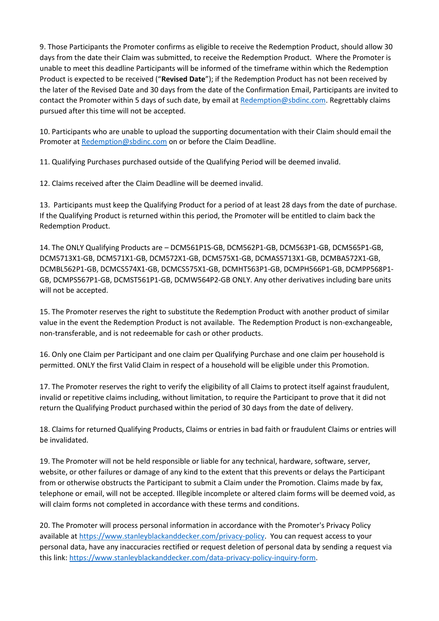9. Those Participants the Promoter confirms as eligible to receive the Redemption Product, should allow 30 days from the date their Claim was submitted, to receive the Redemption Product. Where the Promoter is unable to meet this deadline Participants will be informed of the timeframe within which the Redemption Product is expected to be received ("**Revised Date**"); if the Redemption Product has not been received by the later of the Revised Date and 30 days from the date of the Confirmation Email, Participants are invited to contact the Promoter within 5 days of such date, by email at [Redemption@sbdinc.com.](mailto:Redemption@sbdinc.com) Regrettably claims pursued after this time will not be accepted.

10. Participants who are unable to upload the supporting documentation with their Claim should email the Promoter a[t Redemption@sbdinc.com](mailto:Redemption@sbdinc.com) on or before the Claim Deadline.

11. Qualifying Purchases purchased outside of the Qualifying Period will be deemed invalid.

12. Claims received after the Claim Deadline will be deemed invalid.

13. Participants must keep the Qualifying Product for a period of at least 28 days from the date of purchase. If the Qualifying Product is returned within this period, the Promoter will be entitled to claim back the Redemption Product.

14. The ONLY Qualifying Products are – DCM561P1S-GB, DCM562P1-GB, DCM563P1-GB, DCM565P1-GB, DCM5713X1-GB, DCM571X1-GB, DCM572X1-GB, DCM575X1-GB, DCMAS5713X1-GB, DCMBA572X1-GB, DCMBL562P1-GB, DCMCS574X1-GB, DCMCS575X1-GB, DCMHT563P1-GB, DCMPH566P1-GB, DCMPP568P1- GB, DCMPS567P1-GB, DCMST561P1-GB, DCMW564P2-GB ONLY. Any other derivatives including bare units will not be accepted.

15. The Promoter reserves the right to substitute the Redemption Product with another product of similar value in the event the Redemption Product is not available. The Redemption Product is non-exchangeable, non-transferable, and is not redeemable for cash or other products.

16. Only one Claim per Participant and one claim per Qualifying Purchase and one claim per household is permitted. ONLY the first Valid Claim in respect of a household will be eligible under this Promotion.

17. The Promoter reserves the right to verify the eligibility of all Claims to protect itself against fraudulent, invalid or repetitive claims including, without limitation, to require the Participant to prove that it did not return the Qualifying Product purchased within the period of 30 days from the date of delivery.

18. Claims for returned Qualifying Products, Claims or entries in bad faith or fraudulent Claims or entries will be invalidated.

19. The Promoter will not be held responsible or liable for any technical, hardware, software, server, website, or other failures or damage of any kind to the extent that this prevents or delays the Participant from or otherwise obstructs the Participant to submit a Claim under the Promotion. Claims made by fax, telephone or email, will not be accepted. Illegible incomplete or altered claim forms will be deemed void, as will claim forms not completed in accordance with these terms and conditions.

20. The Promoter will process personal information in accordance with the Promoter's Privacy Policy available at [https://www.stanleyblackanddecker.com/privacy-policy.](https://www.stanleyblackanddecker.com/privacy-policy) You can request access to your personal data, have any inaccuracies rectified or request deletion of personal data by sending a request via this link: [https://www.stanleyblackanddecker.com/data-privacy-policy-inquiry-form.](https://www.stanleyblackanddecker.com/data-privacy-policy-inquiry-form)